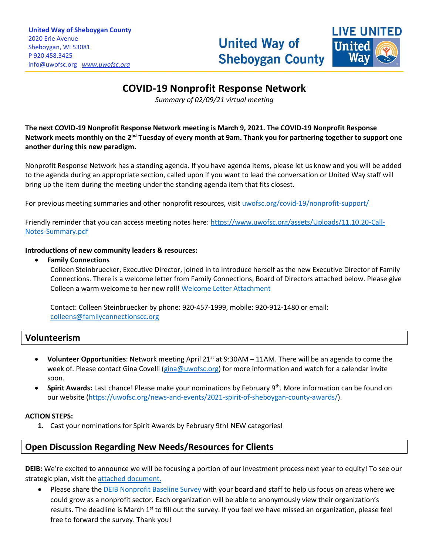

# **COVID-19 Nonprofit Response Network**

\_\_\_\_\_\_\_\_\_\_\_\_\_\_\_\_\_\_\_\_\_\_\_\_\_\_\_\_\_\_\_\_\_\_\_\_\_\_\_\_\_\_\_\_\_\_\_\_\_\_\_\_\_\_\_\_\_\_\_\_\_\_\_\_\_\_\_\_\_\_\_\_\_\_\_\_\_\_\_\_\_\_\_\_\_\_\_\_\_\_\_\_\_\_\_\_\_\_\_\_\_\_\_\_\_\_\_\_\_\_\_\_\_\_\_\_\_\_\_\_\_\_\_\_\_\_\_\_\_\_\_\_\_\_\_\_\_\_\_\_\_\_\_\_\_\_\_\_\_\_\_\_\_\_\_\_\_\_\_\_\_\_\_\_\_\_\_\_\_\_\_\_\_\_\_\_\_\_\_\_\_\_\_\_\_\_\_\_\_\_\_\_\_\_\_\_\_\_\_\_\_\_\_\_\_\_\_\_\_\_\_\_\_\_\_\_\_\_\_\_\_\_\_\_\_\_\_\_\_\_\_\_\_\_\_\_\_\_\_\_\_\_\_\_\_\_\_\_\_\_\_\_\_\_\_\_\_\_\_\_\_\_\_\_\_\_\_\_\_\_\_

*Summary of 02/09/21 virtual meeting*

**The next COVID-19 Nonprofit Response Network meeting is March 9, 2021. The COVID-19 Nonprofit Response**  Network meets monthly on the 2<sup>nd</sup> Tuesday of every month at 9am. Thank you for partnering together to support one **another during this new paradigm.**

Nonprofit Response Network has a standing agenda. If you have agenda items, please let us know and you will be added to the agenda during an appropriate section, called upon if you want to lead the conversation or United Way staff will bring up the item during the meeting under the standing agenda item that fits closest.

For previous meeting summaries and other nonprofit resources, visit [uwofsc.org/covid-19/nonprofit-support/](http://www.uwofsc.org/covid-19/nonprofit-support/)

Friendly reminder that you can access meeting notes here[: https://www.uwofsc.org/assets/Uploads/11.10.20-Call-](https://www.uwofsc.org/assets/Uploads/11.10.20-Call-Notes-Summary.pdf)[Notes-Summary.pdf](https://www.uwofsc.org/assets/Uploads/11.10.20-Call-Notes-Summary.pdf)

#### **Introductions of new community leaders & resources:**

#### • **Family Connections**

Colleen Steinbruecker, Executive Director, joined in to introduce herself as the new Executive Director of Family Connections. There is a welcome letter from Family Connections, Board of Directors attached below. Please give Colleen a warm welcome to her new roll! [Welcome Letter Attachment](file://///sauw03/company/Shared%20Drive/Disaster%20Relief%20Info/COVID-19/COVID-19%20Nonprofit%20Response%20Network/2021/2.9.21/FC%20New%20ED%20Announcement.docx)

Contact: Colleen Steinbruecker by phone: 920-457-1999, mobile: 920-912-1480 or email: [colleens@familyconnectionscc.org](mailto:colleens@familyconnectionscc.org)

## **Volunteerism**

- **Volunteer Opportunities**: Network meeting April 21<sup>st</sup> at 9:30AM 11AM. There will be an agenda to come the week of. Please contact Gina Covelli [\(gina@uwofsc.org\)](mailto:gina@uwofsc.org) for more information and watch for a calendar invite soon.
- **Spirit Awards:** Last chance! Please make your nominations by February 9<sup>th</sup>. More information can be found on our website [\(https://uwofsc.org/news-and-events/2021-spirit-of-sheboygan-county-awards/\)](https://uwofsc.org/news-and-events/2021-spirit-of-sheboygan-county-awards/).

### **ACTION STEPS:**

**1.** Cast your nominations for Spirit Awards by February 9th! NEW categories!

## **Open Discussion Regarding New Needs/Resources for Clients**

**DEIB:** We're excited to announce we will be focusing a portion of our investment process next year to equity! To see our strategic plan, visit th[e attached document.](SS%20Strategic%20Plan%20Chart%20Final%20Draft%208.25.20.pdf)

Please share the [DEIB Nonprofit Baseline Survey](https://www.surveymonkey.com/r/NonprofitDEIBbaselinesurvey) with your board and staff to help us focus on areas where we could grow as a nonprofit sector. Each organization will be able to anonymously view their organization's results. The deadline is March  $1<sup>st</sup>$  to fill out the survey. If you feel we have missed an organization, please feel free to forward the survey. Thank you!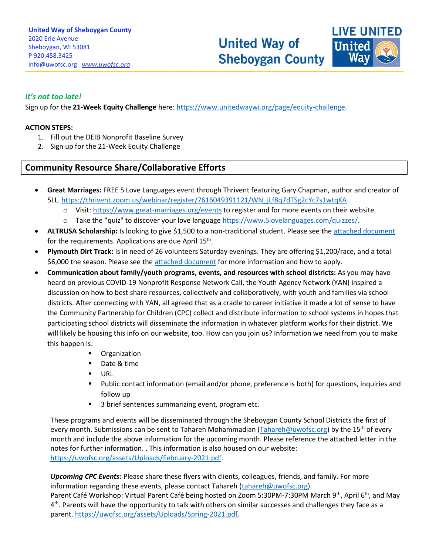**United Way of Sheboygan County** 



## *It's not too late!*

Sign up for the **21-Week Equity Challenge** here: [https://www.unitedwaywi.org/page/equity-challenge.](https://www.unitedwaywi.org/page/equity-challenge)

#### **ACTION STEPS:**

- 1. Fill out the DEIB Nonprofit Baseline Survey
- 2. Sign up for the 21-Week Equity Challenge

## **Community Resource Share/Collaborative Efforts**

• **Great Marriages:** FREE 5 Love Languages event through Thrivent featuring Gary Chapman, author and creator of 5LL[. https://thrivent.zoom.us/webinar/register/7616049391121/WN\\_jLf8q7dTSg2cYc7s1wtqKA.](https://thrivent.zoom.us/webinar/register/7616049391121/WN_jLf8q7dTSg2cYc7s1wtqKA)

\_\_\_\_\_\_\_\_\_\_\_\_\_\_\_\_\_\_\_\_\_\_\_\_\_\_\_\_\_\_\_\_\_\_\_\_\_\_\_\_\_\_\_\_\_\_\_\_\_\_\_\_\_\_\_\_\_\_\_\_\_\_\_\_\_\_\_\_\_\_\_\_\_\_\_\_\_\_\_\_\_\_\_\_\_\_\_\_\_\_\_\_\_\_\_\_\_\_\_\_\_\_\_\_\_\_\_\_\_\_\_\_\_\_\_\_\_\_\_\_\_\_\_\_\_\_\_\_\_\_\_\_\_\_\_\_\_\_\_\_\_\_\_\_\_\_\_\_\_\_\_\_\_\_\_\_\_\_\_\_\_\_\_\_\_\_\_\_\_\_\_\_\_\_\_\_\_\_\_\_\_\_\_\_\_\_\_\_\_\_\_\_\_\_\_\_\_\_\_\_\_\_\_\_\_\_\_\_\_\_\_\_\_\_\_\_\_\_\_\_\_\_\_\_\_\_\_\_\_\_\_\_\_\_\_\_\_\_\_\_\_\_\_\_\_\_\_\_\_\_\_\_\_\_\_\_\_\_\_\_\_\_\_\_\_\_\_\_\_\_\_

- o Visit[: https://www.great-marriages.org/events](https://www.great-marriages.org/events) to register and for more events on their website.
- o Take the "quiz" to discover your love languag[e https://www.5lovelanguages.com/quizzes/.](https://www.5lovelanguages.com/quizzes/)
- **ALTRUSA Scholarship:** Is looking to give \$1,500 to a non-traditional student. Please see the [attached document](ALTRUSA%20Scholarship%202021.pdf) for the requirements. Applications are due April 15<sup>th</sup>.
- **Plymouth Dirt Track:** Is in need of 26 volunteers Saturday evenings. They are offering \$1,200/race, and a total \$6,000 the season. Please see th[e attached document](img177.pdf) for more information and how to apply.
- **Communication about family/youth programs, events, and resources with school districts:** As you may have heard on previous COVID-19 Nonprofit Response Network Call, the Youth Agency Network (YAN) inspired a discussion on how to best share resources, collectively and collaboratively, with youth and families via school districts. After connecting with YAN, all agreed that as a cradle to career initiative it made a lot of sense to have the Community Partnership for Children (CPC) collect and distribute information to school systems in hopes that participating school districts will disseminate the information in whatever platform works for their district. We will likely be housing this info on our website, too. How can you join us? Information we need from you to make this happen is:
	- Organization
	- Date & time
	- URL
	- Public contact information (email and/or phone, preference is both) for questions, inquiries and follow up
	- 3 brief sentences summarizing event, program etc.

These programs and events will be disseminated through the Sheboygan County School Districts the first of every month. Submissions can be sent to Tahareh Mohammadian [\(Tahareh@uwofsc.org\)](mailto:Tahareh@uwofsc.org) by the 15<sup>th</sup> of every month and include the above information for the upcoming month. Please reference the attached letter in the notes for further information. . This information is also housed on our website: [https://uwofsc.org/assets/Uploads/February-2021.pdf.](https://uwofsc.org/assets/Uploads/February-2021.pdf)

*Upcoming CPC Events:* Please share these flyers with clients, colleagues, friends, and family. For more information regarding these events, please contact Tahareh [\(tahareh@uwofsc.org\)](mailto:tahareh@uwofsc.org).

Parent Café Workshop: Virtual Parent Café being hosted on Zoom 5:30PM-7:30PM March 9<sup>th</sup>, April 6<sup>th</sup>, and May 4<sup>th</sup>. Parents will have the opportunity to talk with others on similar successes and challenges they face as a parent. [https://uwofsc.org/assets/Uploads/Spring-2021.pdf.](https://uwofsc.org/assets/Uploads/Spring-2021.pdf)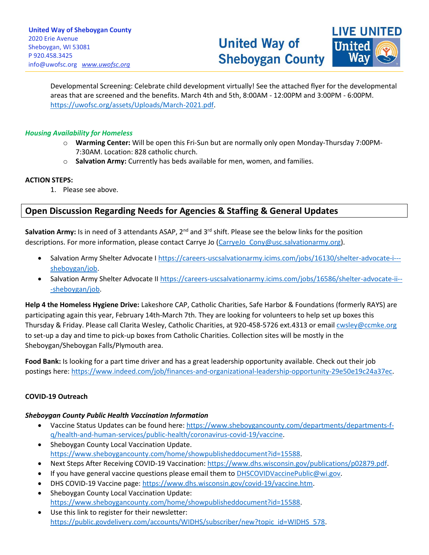**LIVE UNITED United** 

Developmental Screening: Celebrate child development virtually! See the attached flyer for the developmental areas that are screened and the benefits. March 4th and 5th, 8:00AM - 12:00PM and 3:00PM - 6:00PM. [https://uwofsc.org/assets/Uploads/March-2021.pdf.](https://uwofsc.org/assets/Uploads/March-2021.pdf)

\_\_\_\_\_\_\_\_\_\_\_\_\_\_\_\_\_\_\_\_\_\_\_\_\_\_\_\_\_\_\_\_\_\_\_\_\_\_\_\_\_\_\_\_\_\_\_\_\_\_\_\_\_\_\_\_\_\_\_\_\_\_\_\_\_\_\_\_\_\_\_\_\_\_\_\_\_\_\_\_\_\_\_\_\_\_\_\_\_\_\_\_\_\_\_\_\_\_\_\_\_\_\_\_\_\_\_\_\_\_\_\_\_\_\_\_\_\_\_\_\_\_\_\_\_\_\_\_\_\_\_\_\_\_\_\_\_\_\_\_\_\_\_\_\_\_\_\_\_\_\_\_\_\_\_\_\_\_\_\_\_\_\_\_\_\_\_\_\_\_\_\_\_\_\_\_\_\_\_\_\_\_\_\_\_\_\_\_\_\_\_\_\_\_\_\_\_\_\_\_\_\_\_\_\_\_\_\_\_\_\_\_\_\_\_\_\_\_\_\_\_\_\_\_\_\_\_\_\_\_\_\_\_\_\_\_\_\_\_\_\_\_\_\_\_\_\_\_\_\_\_\_\_\_\_\_\_\_\_\_\_\_\_\_\_\_\_\_\_\_\_

### *Housing Availability for Homeless*

- o **Warming Center:** Will be open this Fri-Sun but are normally only open Monday-Thursday 7:00PM-7:30AM. Location: 828 catholic church.
- o **Salvation Army:** Currently has beds available for men, women, and families.

### **ACTION STEPS:**

1. Please see above.

## **Open Discussion Regarding Needs for Agencies & Staffing & General Updates**

Salvation Army: Is in need of 3 attendants ASAP, 2<sup>nd</sup> and 3<sup>rd</sup> shift. Please see the below links for the position descriptions. For more information, please contact Carrye Jo (CarryeJo Cony@usc.salvationarmy.org).

- Salvation Army Shelter Advocate I [https://careers-uscsalvationarmy.icims.com/jobs/16130/shelter-advocate-i--](https://careers-uscsalvationarmy.icims.com/jobs/16130/shelter-advocate-i---sheboygan/job) [sheboygan/job.](https://careers-uscsalvationarmy.icims.com/jobs/16130/shelter-advocate-i---sheboygan/job)
- Salvation Army Shelter Advocate II [https://careers-uscsalvationarmy.icims.com/jobs/16586/shelter-advocate-ii--](https://careers-uscsalvationarmy.icims.com/jobs/16586/shelter-advocate-ii---sheboygan/job) [-sheboygan/job.](https://careers-uscsalvationarmy.icims.com/jobs/16586/shelter-advocate-ii---sheboygan/job)

**Help 4 the Homeless Hygiene Drive:** Lakeshore CAP, Catholic Charities, Safe Harbor & Foundations (formerly RAYS) are participating again this year, February 14th-March 7th. They are looking for volunteers to help set up boxes this Thursday & Friday. Please call Clarita Wesley, Catholic Charities, at 920-458-5726 ext.4313 or emai[l cwsley@ccmke.org](mailto:cwsley@ccmke.org) to set-up a day and time to pick-up boxes from Catholic Charities. Collection sites will be mostly in the Sheboygan/Sheboygan Falls/Plymouth area.

**Food Bank:** Is looking for a part time driver and has a great leadership opportunity available. Check out their job postings here: [https://www.indeed.com/job/finances-and-organizational-leadership-opportunity-29e50e19c24a37ec.](https://www.indeed.com/job/finances-and-organizational-leadership-opportunity-29e50e19c24a37ec)

## **COVID-19 Outreach**

## *Sheboygan County Public Health Vaccination Information*

- Vaccine Status Updates can be found here: [https://www.sheboygancounty.com/departments/departments-f](https://www.sheboygancounty.com/departments/departments-f-q/health-and-human-services/public-health/coronavirus-covid-19/vaccine)[q/health-and-human-services/public-health/coronavirus-covid-19/vaccine.](https://www.sheboygancounty.com/departments/departments-f-q/health-and-human-services/public-health/coronavirus-covid-19/vaccine)
- Sheboygan County Local Vaccination Update. [https://www.sheboygancounty.com/home/showpublisheddocument?id=15588.](https://www.sheboygancounty.com/home/showpublisheddocument?id=15588)
- Next Steps After Receiving COVID-19 Vaccination: [https://www.dhs.wisconsin.gov/publications/p02879.pdf.](https://www.dhs.wisconsin.gov/publications/p02879.pdf)
- If you have general vaccine questions please email them to [DHSCOVIDVaccinePublic@wi.gov.](mailto:DHSCOVIDVaccinePublic@wi.gov)
- DHS COVID-19 Vaccine page: [https://www.dhs.wisconsin.gov/covid-19/vaccine.htm.](https://www.dhs.wisconsin.gov/covid-19/vaccine.htm)
- Sheboygan County Local Vaccination Update: [https://www.sheboygancounty.com/home/showpublisheddocument?id=15588.](https://www.sheboygancounty.com/home/showpublisheddocument?id=15588)
- Use this link to register for their newsletter: [https://public.govdelivery.com/accounts/WIDHS/subscriber/new?topic\\_id=WIDHS\\_578.](https://public.govdelivery.com/accounts/WIDHS/subscriber/new?topic_id=WIDHS_578)